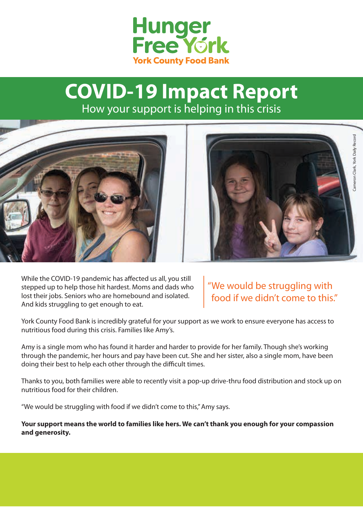

## **COVID-19 Impact Report** How your support is helping in this crisis



While the COVID-19 pandemic has affected us all, you still stepped up to help those hit hardest. Moms and dads who lost their jobs. Seniors who are homebound and isolated. And kids struggling to get enough to eat.

"We would be struggling with food if we didn't come to this." Cameron Clark, York Daily Record

Cameron Clark, York Daily Record

York County Food Bank is incredibly grateful for your support as we work to ensure everyone has access to nutritious food during this crisis. Families like Amy's.

Amy is a single mom who has found it harder and harder to provide for her family. Though she's working through the pandemic, her hours and pay have been cut. She and her sister, also a single mom, have been doing their best to help each other through the difficult times.

Thanks to you, both families were able to recently visit a pop-up drive-thru food distribution and stock up on nutritious food for their children.

"We would be struggling with food if we didn't come to this," Amy says.

**Your support means the world to families like hers. We can't thank you enough for your compassion and generosity.**